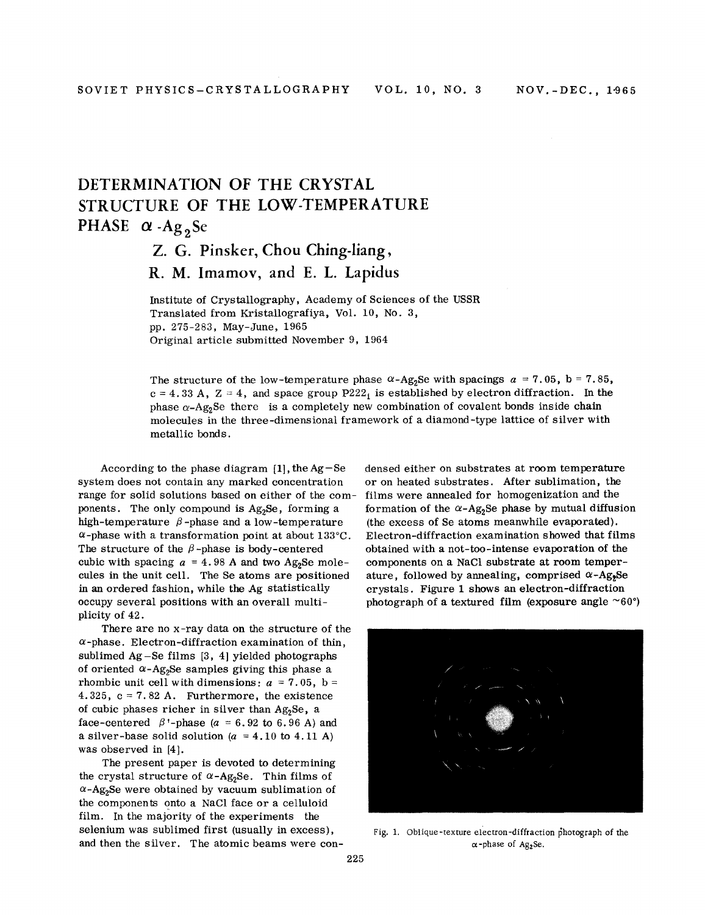## DETERMINATION OF THE CRYSTAL STRUCTURE OF THE LOW-TEMPERATURE PHASE  $\alpha$  -Ag<sub>2</sub>Se

## Z. G. Pinsker, Chou Ching-liang,

R. M. Imamov, and E. L. Lapidus

Institute of Crystallography, Academy of Sciences of the USSR Translated from Kristallografiya, Vol. 10, No.3, pp. 275-283, May-June, 1965 Original article submitted November 9, 1964

The structure of the low-temperature phase  $\alpha$ -Ag<sub>2</sub>Se with spacings  $a = 7.05$ , b = 7.85,  $c = 4.33$  A,  $Z = 4$ , and space group P222<sub>1</sub> is established by electron diffraction. In the phase  $\alpha$ -Ag<sub>2</sub>Se there is a completely new combination of covalent bonds inside chain molecules in the three-dimensional framework of a diamond -type lattice of silver with metallic bonds.

According to the phase diagram  $[1]$ , the Ag-Se system does not contain any marked concentration range for solid solutions based on either of the components. The only compound is  $Ag<sub>2</sub>Se$ , forming a high-temperature  $\beta$ -phase and a low-temperature  $\alpha$ -phase with a transformation point at about 133°C. The structure of the  $\beta$ -phase is body-centered cubic with spacing  $a = 4.98$  A and two Ag<sub>2</sub>Se molecules in the unit cell. The Se atoms are positioned in an ordered fashion, while the Ag statistically occupy several positions with an overall multiplicity of 42.

There are no x-ray data on the structure of the  $\alpha$ -phase. Electron-diffraction examination of thin, sublimed Ag-Se films [3, 4] yielded photographs of oriented  $\alpha$ -Ag<sub>2</sub>Se samples giving this phase a rhombic unit cell with dimensions:  $a = 7.05$ ,  $b =$ 4.325,  $c = 7.82$  A. Furthermore, the existence of cubic phases richer in silver than Ag<sub>2</sub>Se, a face-centered  $\beta$ <sup>t</sup>-phase (a = 6.92 to 6.96 A) and a silver-base solid solution  $(a = 4.10 \text{ to } 4.11 \text{ A})$ was observed in [4].

The present paper is devoted to determining the crystal structure of  $\alpha$ -Ag<sub>2</sub>Se. Thin films of  $\alpha$ -Ag<sub>2</sub>Se were obtained by vacuum sublimation of the components onto a NaCl face or a celluloid film. In the majority of the experiments the selenium was sublimed first (usually in excess), and then the silver. The atomic beams were condensed either on substrates at room temperature or on heated substrates. After sublimation, the films were annealed for homogenization and the formation of the  $\alpha$ -Ag<sub>2</sub>Se phase by mutual diffusion (the excess of Se atoms meanwhile evaporated). Electron-diffraction examination showed that films obtained with a not-too-intense evaporation of the components on a NaCl substrate at room temperature, followed by annealing, comprised  $\alpha$ -Ag, Se crystals. Figure 1 shows an electron-diffraction photograph of a textured film (exposure angle  $^{\sim}60^{\circ}$ )



Fig. 1. Oblique-texture electron-diffraction photograph of the  $\alpha$ -phase of Ag<sub>2</sub>Se.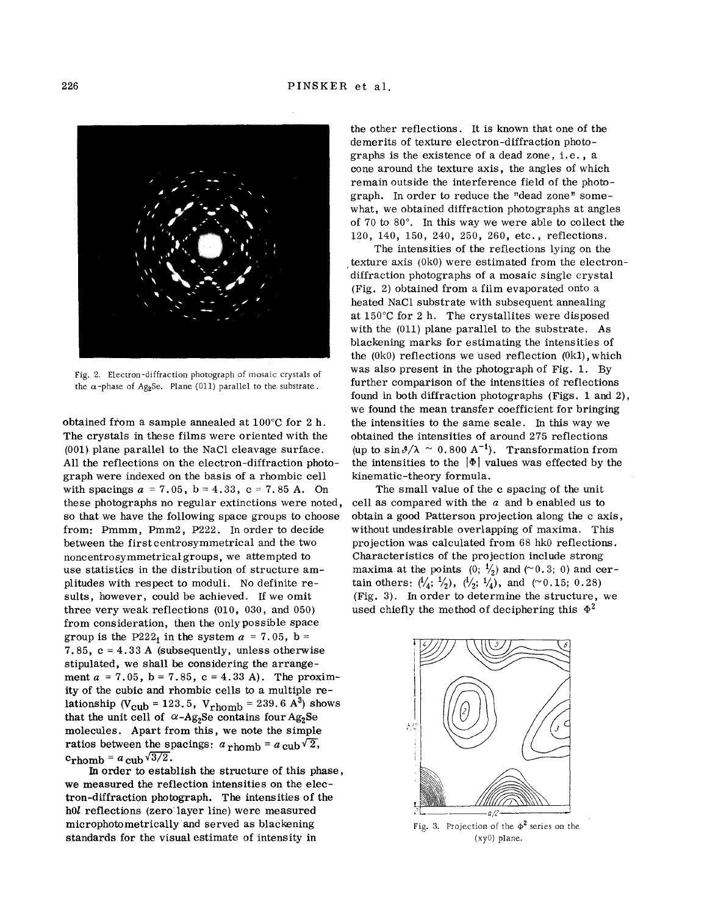

Fig. 2, Electron -diffraction photograph of mosaic crystals of the  $\alpha$ -phase of Ag<sub>2</sub>Se. Plane (011) parallel to the substrate.

obtained from a sample annealed at 100°C for 2 h. The crystals in these films were oriented with the (001) plane parallel to the NaCl cleavage surface. All the reflections on the electron-diffraction photograph were indexed on the basis of a rhombic cell with spacings  $a = 7.05$ ,  $b = 4.33$ ,  $c = 7.85$  A. On these photographs no regular extinctions were noted, so that we have the following space groups to choose from: Pmmm, Pmm2, P222. In order to decide between the firstcentrosymmetrical and the two noncentrosymmetricalgroups, we attempted to use statistics in the distribution of structure amplitudes with respect to moduli. No definite results, however, could be achieved. If we omit three very weak reflections (010, 030, and 050) from consideration, then the only possible space group is the P222<sub>1</sub> in the system  $a = 7.05$ , b = 7.85,  $c = 4.33$  A (subsequently, unless otherwise stipulated, we shall be considering the arrangement  $a = 7.05$ ,  $b = 7.85$ ,  $c = 4.33$  A). The proximity of the cubic and rhombic cells to a multiple relationship (V<sub>Cub</sub> = 123.5, V<sub>rhomb</sub> = 239.6  $A^3$ ) shows that the unit cell of  $\alpha$ -Ag<sub>2</sub>Se contains four Ag<sub>2</sub>Se molecules. Apart from this, we note the simple ratios between the spacings:  $a_{\text{rhomb}} = a_{\text{cub}}\sqrt{2}$ ,  $c_{\text{rhomb}} = a_{\text{ cub}} \sqrt{3/2}.$ 

In order to establish the structure of this phase, we measured the reflection intensities on the electron-diffraction photograph. The intensities of the hOl reflections (zero'layer line) were measured microphotometrically and served as blackening standards for the visual estimate of intensity in

the other reflections. It is known that one of the demerits of texture electron-diffraction photographs is the exis tence of a dead zone, i. e. , a cone around the texture axis, the angles of which remain outside the interference field of the photograph. In order to reduce the "dead zone" somewhat, we obtained diffraction photographs at angles of 70 to 80°. In this way we were able to collect the 120, 140, 150, 240, 250, 260, etc., reflections.

The intensities of the reflections lying on the , texture axis (OkO) were estimated from the electrondiffraction photographs of a mosaic single crystal (Fig. 2) obtained from a film evaporated onto a heated NaCl substrate with subsequent annealing at 150°C for 2 h. The crystallites were disposed with the (011) plane parallel to the substrate. As blackening marks for estimating the intensities of the (OkO) reflections we used reflection (Ok1), which was also present in the photograph of Fig. 1. By further comparison of the intensities of reflections found in both diffraction photographs (Figs. 1 and 2), we found the mean transfer coefficient for bringing the intensities to the same scale. In this way we obtained the intensities of around 275 reflections (up to  $\sin \frac{\theta}{\lambda} \sim 0.800 \text{ A}^{-1}$ ). Transformation from the intensities to the  $|\Phi|$  values was effected by the kinematic-theory formula.

The small value of the c spacing of the unit cell as compared with the *a* and b enabled us to obtain a good Patterson projection along the c axis, without undesirable overlapping of maxima. This projection was calculated from 68 hkO reflections. Characteristics of the projection include strong maxima at the points  $(0; \frac{1}{2})$  and  $(0; 0.3; 0)$  and certain others:  $(\frac{1}{4}; \frac{1}{2})$ ,  $(\frac{1}{2}; \frac{1}{4})$ , and  $(0.15; 0.28)$ (Fig. 3). In order to determine the structure, we used chiefly the method of deciphering this  $\Phi^2$ 



Fig. 3. Projection of the  $\Phi^2$  series on the (xyO) plane.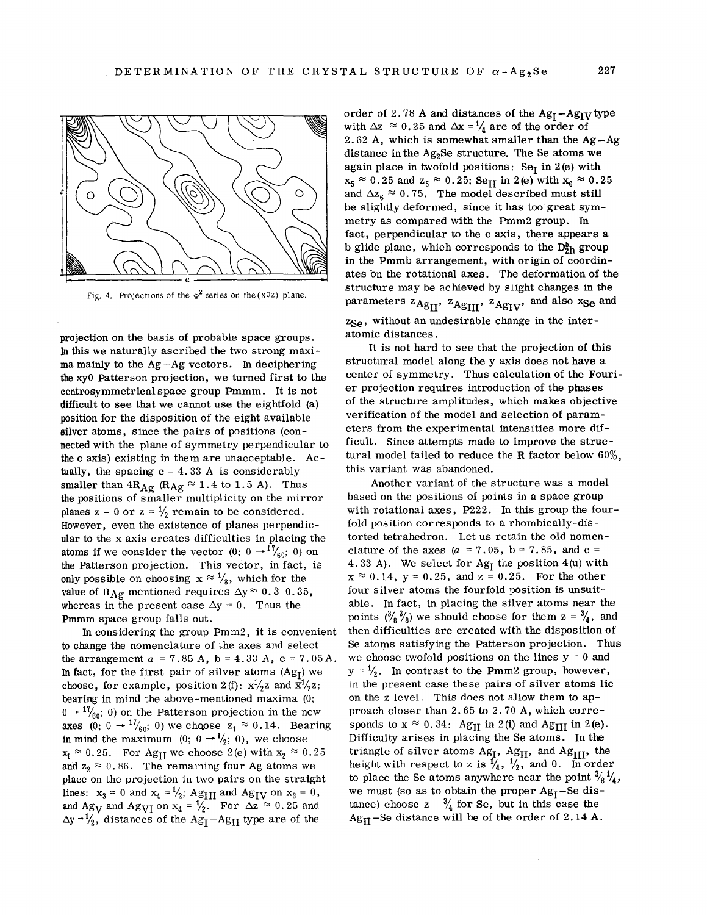

Fig. 4. Projections of the  $\Phi^2$  series on the (x0z) plane.

projection on the basis of probable space groups. In this we naturally ascribed the two strong maxima mainly to the  $Ag - Ag$  vectors. In deciphering the xyO Patterson projection, we turned first to the centrosymmetricalspace group Pmmm. It is not difficult to see that we cannot use the eightfold (a) position for the disposition of the eight available silver atoms, since the pairs of positions (connected with the plane of symmetry perpendicular to the c axis) existing in them are unacceptable. Actually, the spacing  $c = 4.33$  A is considerably smaller than  $4R_{\text{Ag}}$  ( $R_{\text{Ag}} \approx 1.4$  to 1.5 A). Thus the positions of smaller multiplicity on the mirror planes  $z = 0$  or  $z = \frac{1}{2}$  remain to be considered. However, even the existence of planes perpendicular to the x axis creates difficulties in placing the atoms if we consider the vector  $(0; 0 \rightarrow 1\frac{7}{60}; 0)$  on the Patterson projection. This vector, in fact, is only possible on choosing  $x \approx \frac{1}{8}$ , which for the value of R<sub>Ag</sub> mentioned requires  $\Delta y \approx 0.3$ -0.35, whereas in the present case  $\Delta y = 0$ . Thus the Pmmm space group falls out.

In considering the group Pmm2, it is convenient to change the nomenclature of the axes and select the arrangement  $a = 7.85$  A,  $b = 4.33$  A,  $c = 7.05$  A. In fact, for the first pair of silver atoms  $(Ag_I)$  we choose, for example, position 2(f):  $x^{1/2}z$  and  $\bar{x}^{1/2}z$ ; bearing in mind the above-mentioned maxima (0;  $0 \rightarrow \frac{17}{60}$ ; 0) on the Patterson projection in the new  $0 \rightarrow \frac{17}{60}$ ; 0) on the Patterson projection in the new<br>axes (0;  $0 \rightarrow \frac{17}{60}$ ; 0) we choose  $z_1 \approx 0.14$ . Bearin in mind the maximum  $(0; 0 \rightarrow \frac{1}{2}; 0)$ , we choos  $x_1 \approx 0.25$ . For Ag<sub>II</sub> we choose 2(e) with  $x_2 \approx 0.2$ and  $z_2 \approx 0.86$ . The remaining four Ag atoms we place on the projection in two pairs on the straight lines:  $x_3 = 0$  and  $x_4 = \frac{1}{2}$ ;  $Ag_{III}$  and  $Ag_{IV}$  on  $x_3 = 0$ , and Ag<sub>V</sub> and Ag<sub>VI</sub> on  $x_4 = \frac{1}{2}$ . For  $\Delta z \approx 0.25$  and  $\Delta y = \frac{1}{2}$ , distances of the Ag<sub>1</sub>-Ag<sub>11</sub> type are of the

order of 2.78 A and distances of the  $Ag_I - Ag_{IV}$  type with  $\Delta z \approx 0.25$  and  $\Delta x = \frac{1}{4}$  are of the order of 2.62 A, which is somewhat smaller than the Ag- $A$ distance in the Ag<sub>2</sub>Se structure. The Se atoms we again place in twofold positions: Se<sub>I</sub> in 2(e) with  $x_5 \approx 0.25$  and  $z_5 \approx 0.25$ ; Se<sub>II</sub> in 2(e) with  $x_6 \approx 0.25$ and  $\Delta z_{6} \approx 0.75$ . The model described must still be slightly deformed, since it has too great symmetryas compared with the Pmm2 group. In fact, perpendicular to the c axis, there appears a b glide plane, which corresponds to the  $D_{2h}^{5}$  group in the Pmmb arrangement, with origin of coordinates on the rotational axes. The deformation of the structure may be achieved by slight changes in the  $\alpha$  parameters  $z_{\rm Ag_{II}}$ ,  $z_{\rm Ag_{III}}$ ,  $z_{\rm Ag_{IV}}$ , and also  $x_{\rm Se}$  and  $z_{\text{Se}}$ , without an undesirable change in the interatomic distances.

It is not hard to see that the projection of this structural model along the y axis does not have a center of symmetry. Thus calculation of the Fourier projection requires introduction of the phases of the structure amplitudes, which makes objective verification of the model and selection of parameters from the experimental intensities more difficult. Since attempts made to improve the structural model failed to reduce the R factor below  $60\%$ . this variant was abandoned.

Another variant of the structure was a model based on the positions of points in a space group with rotational axes, P222. In this group the fourfold position corresponds to a rhombically-distorted tetrahedron. Let us retain the old nomenclature of the axes  $(a = 7.05, b = 7.85, and c =$ 4.33 A). We select for  $Ag<sub>I</sub>$  the position 4(u) with  $x \approx 0.14$ ,  $y = 0.25$ , and  $z = 0.25$ . For the other four silver atoms the fourfold position is unsuitable. In fact, in placing the silver atoms near the points  $({}^3\!/_{8} {}^3\!/_{8})$  we should choose for them  $z = {}^3\!/_{4}$ , and then difficulties are created with the disposition of Se atoms satisfying the Patterson projection. Thus we choose twofold positions on the lines  $y = 0$  and  $y = \frac{1}{2}$ . In contrast to the Pmm2 group, however, in the present case these pairs of silver atoms lie on the Z level. This does not allow them to approach closer than 2.65 to 2.70 A, which corresponds to  $x \approx 0.34$ : Ag<sub>II</sub> in 2(i) and Ag<sub>III</sub> in 2(e). Difficulty arises in placing the Se atoms. In the triangle of silver atoms Ag<sub>I</sub>, Ag<sub>II</sub>, and Ag<sub>III</sub>, the height with respect to z is  $\frac{f}{4}$ ,  $\frac{1}{2}$  and 0. In order to place the Se atoms anywhere near the point  $\frac{3}{8}$  $\frac{1}{4}$ , we must (so as to obtain the proper  $Ag<sub>I</sub>$ -Se distance) choose  $z = \frac{3}{4}$  for Se, but in this case the  $Ag<sub>II</sub> - Se distance will be of the order of 2.14 A.$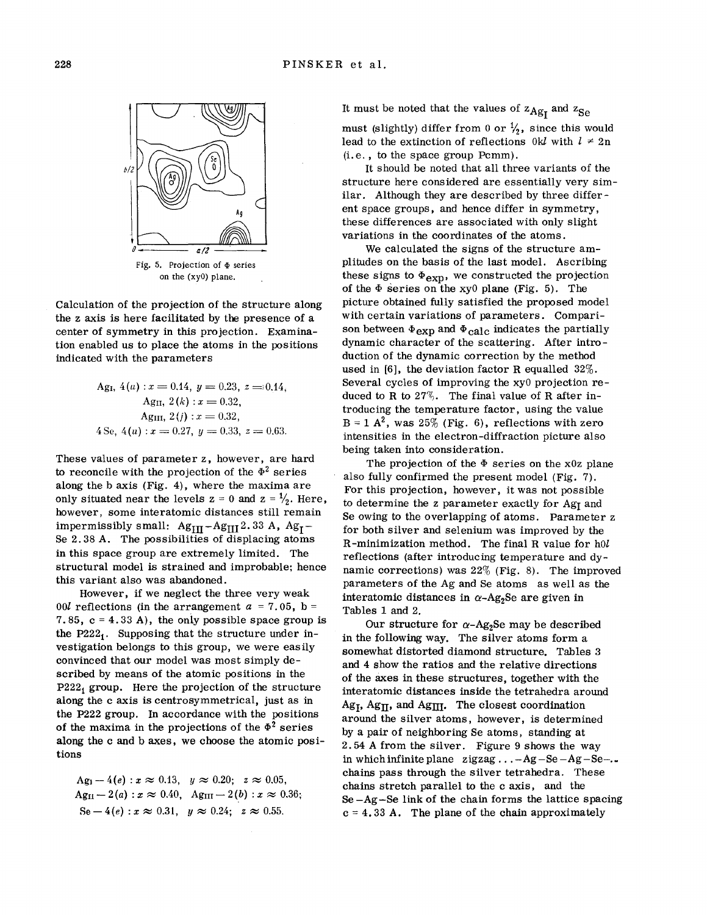

Fig. 5. Projection of  $\Phi$  series on the (xyO) plane.

Calculation of the projection of the structure along the z axis is here facilitated by the presence of a center of symmetry in this projection. Examination enabled us to place the atoms in the positions indicated with the parameters

\n
$$
\text{Ag}_1, 4(u) : x = 0.14, \, y = 0.23, \, z = 0.14,
$$
\n

\n\n $\text{Ag}_1, 2(k) : x = 0.32,$ \n

\n\n $\text{Ag}_2(i) : x = 0.32,$ \n

\n\n $\text{Ag}_3(i) : x = 0.33,$ \n

\n\n $\text{Ag}_3(i) : x = 0.27, \, y = 0.33, \, z = 0.63.$ \n

These values of parameter z, however, are hard to reconcile with the projection of the  $\Phi^2$  series along the b axis (Fig. 4), where the maxima are only situated near the levels  $z = 0$  and  $z = \frac{1}{2}$ . Here, however, some interatomic distances still remain impermissibly small:  $Ag_{III} - Ag_{III} 2.33 A$ ,  $Ag_{I} -$ Se 2.38 A. The possibilities of displacing atoms in this space group are extremely limited. The structural model is strained and improbable; hence this variant also was abandoned.

However, if we neglect the three very weak 00*l* reflections (in the arrangement  $a = 7.05$ , b = 7.85,  $c = 4.33$  A), the only possible space group is the  $P222<sub>1</sub>$ . Supposing that the structure under investigation belongs to this group, we were easily convinced that our model was most simply described by means of the atomic positions in the  $P222<sub>1</sub>$  group. Here the projection of the structure along the c axis is centrosymmetrical, just as in the P222 group. In accordance with the positions of the maxima in the projections of the  $\Phi^2$  series along the c and b axes, we choose the atomic positions

Ag<sub>1</sub> - 4(e) : 
$$
x \approx 0.13
$$
,  $y \approx 0.20$ ;  $z \approx 0.05$ ,  
Ag<sub>II</sub> - 2(a) :  $x \approx 0.40$ , Ag<sub>III</sub> - 2(b) :  $x \approx 0.36$ ;  
Se - 4(e) :  $x \approx 0.31$ ,  $y \approx 0.24$ ;  $z \approx 0.55$ .

It must be noted that the values of  $z_{\text{Ag}t}$  and  $z_{\text{Se}}$ 

must (slightly) differ from 0 or  $\frac{1}{2}$ , since this would lead to the extinction of reflections  $0k$  with  $l \neq 2n$  $(i.e., to the space group  $Pcmm$ ).$ 

It should be noted that all three variants of the structure here considered are essentially very similar. Although they are described by three different space groups, and hence differ in symmetry, these differences are associated with only slight variations in the coordinates of the atoms.

We calculated the signs of the structure amplitudes on the basis of the last model. Ascribing these signs to  $\Phi_{\text{exp}}$ , we constructed the projection of the  $\Phi$  series on the xy<sub>0</sub> plane (Fig. 5). The picture obtained fully satisfied the proposed model with certain variations of parameters. Comparison between  $\Phi_{\text{exp}}$  and  $\Phi_{\text{calc}}$  indicates the partially dynam ic character of the scattering. After introduction of the dynamic correction by the method used in [6], the deviation factor R equalled 32%. Several cycles of improving the xyO projection reduced to R to  $27\%$ . The final value of R after introducing the temperature factor, using the value  $B = 1$  A<sup>2</sup>, was 25% (Fig. 6), reflections with zero intensities in the electron-diffraction picture also being taken into consideration.

The projection of the  $\Phi$  series on the x0z plane also fully confirmed the present model (Fig. 7). For this projection, however, it was not possible to determine the z parameter exactly for  $Ag_I$  and Se owing to the overlapping of atoms. Parameter z for both silver and selenium was improved by the R-minimization method. The final R value for *hOl* reflections (after introducing temperature and dynamic corrections) was 22% (Fig. 8). The improved parameters of the Ag and Se atoms as well as the interatomic distances in  $\alpha$ -Ag<sub>2</sub>Se are given in Tables 1 and 2.

Our structure for  $\alpha$ -Ag<sub>2</sub>Se may be described in the following way. The silver atoms form a somewhat distorted diamond structure. Tables 3 and 4 show the ratios and the relative directions of the axes in these structures, together with the interatomic distances inside the tetrahedra around  $Ag_{\text{I}}$ , Ag<sub>II</sub>, and Ag<sub>III</sub>. The closest coordination around the silver atoms, however, is determined by a pair of neighboring Se atoms, standing at 2.54 A from the silver. Figure 9 shows the way in which infinite plane zigzag...  $-Ag-Se-Ag-Se...$ chains pass through the silver tetrahedra. These chains stretch parallel to the c axis, and the  $Se-Ag-Se$  link of the chain forms the lattice spacing  $c = 4.33$  A. The plane of the chain approximately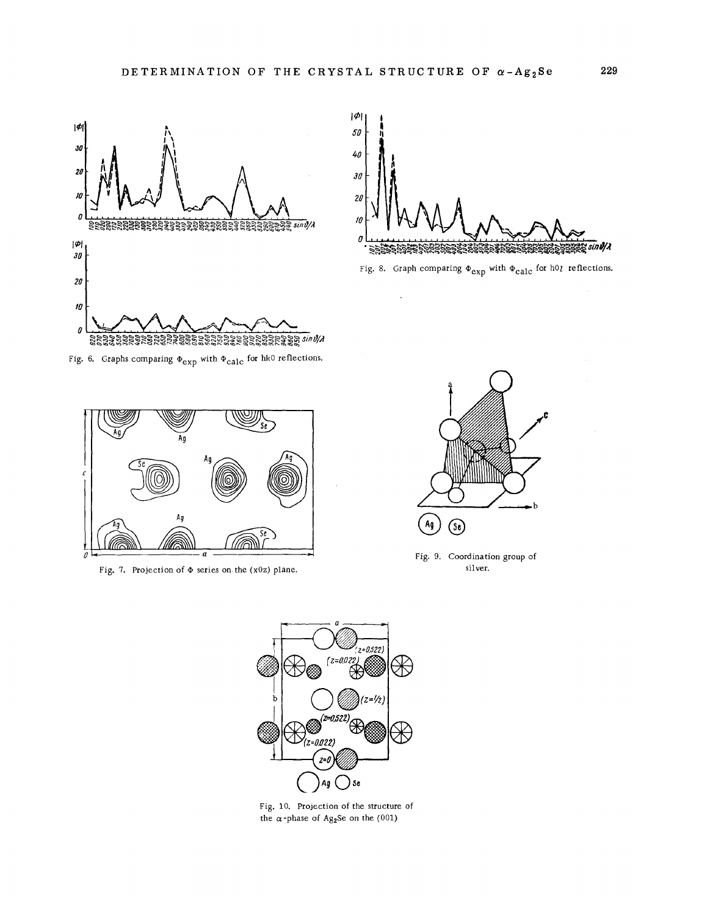



Fig. 8. Graph comparing  $\Phi_{\exp}$  with  $\Phi_{\text{calc}}$  for *hOI* reflections.

Fig. 6. Graphs comparing  $\Phi_{\exp}$  with  $\Phi_{\text{calc}}$  for hkO reflections.



Fig. 7. Projection of  $\Phi$  series on the (x0z) plane.



Fig. 9. Coordination group of sil ver.



Fig. 10. Projection of the structure of the  $\alpha$  -phase of Ag<sub>2</sub>Se on the (001)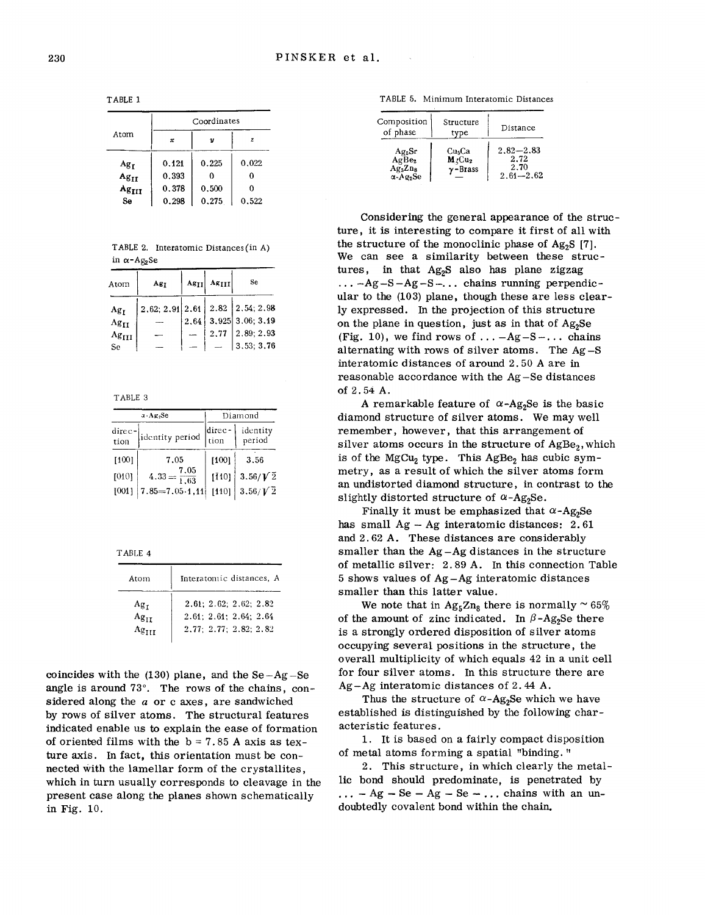TABLE 1

|                   | Coordinates  |       |       |
|-------------------|--------------|-------|-------|
| Atom              | $\mathbf{x}$ | ν     | z     |
| Ag <sub>T</sub>   | 0.121        | 0.225 | 0.022 |
| $Ag_{II}$         | 0.393        |       | 0     |
| Ag <sub>III</sub> | 0.378        | 0.500 | 0     |
| Se                | 0.298        | 0,275 | 0.522 |

TABLE 2. Interatomic Distances (in A) in *a-A82Se*

| Atom            | Ag <sub>T</sub>                 | $\ Ag_{II}\ $ $\ Ag_{III}\ $ | Se                      |
|-----------------|---------------------------------|------------------------------|-------------------------|
| Ag <sub>r</sub> | 2,62; 2,91 2,61 2.82 2,54; 2,98 |                              |                         |
| $Ag_{II}$       |                                 |                              | $2,64$ 3.925 3.06; 3.19 |
| $Ag_{III}$      |                                 |                              | $2,77$   $2,89; 2,93$   |
| Se              |                                 |                              | $\vert 3, 53; 3, 76$    |

TABLE 3

| $x - A g_2 Se$                    |                            | Diamond        |                    |
|-----------------------------------|----------------------------|----------------|--------------------|
| $\frac{\text{dice}}{\text{tion}}$ | identity period            | direc-<br>tion | identity<br>period |
| [100]                             | 7.05                       | [100]          | 3.56               |
| [010]                             | $4.33 = \frac{7.05}{1.63}$ | [110]          | $3.56/\sqrt{2}$    |
| [001]                             | $7.85 = 7.05 \cdot 1,11$   | [110]          | $3.56/\sqrt{2}$    |

TABLE 4

| Atom                         | Interatomic distances. A                                                              |
|------------------------------|---------------------------------------------------------------------------------------|
| Ag <sub>T</sub><br>$Ag_{II}$ | $2,61$ ; $2.62$ ; $2.62$ ; $2.82$<br>2.61; 2.61; 2.64; 2.64<br>2.77: 2.77: 2.82: 2.82 |

coincides with the  $(130)$  plane, and the Se-Ag-Se angle is around 73°. The rows of the chains, considered along the *a* or c axes, are sandwiched by rows of silver atoms. The structural features indicated enable us to explain the ease of formation of oriented films with the  $b = 7.85$  A axis as texture axis. In fact, this orientation must be connected with the lamellar form of the crystallites, which in turn usually corresponds to cleavage in the present case along the planes shown schematically in Fig. 10.

TABLE 5. Minimum Interatomic Distances

| Composition<br>of phase                                                                   | Structure<br>type                                             | Distance                                       |
|-------------------------------------------------------------------------------------------|---------------------------------------------------------------|------------------------------------------------|
| Ag <sub>5</sub> Sr<br>AgBe <sub>2</sub><br>$Ag_{5}Zn_{8}$<br>$\alpha$ -Ag <sub>2</sub> Se | Cu <sub>5</sub> Ca<br>$M$ rCu <sub>2</sub><br>$\gamma$ -Brass | $2.82 - 2.83$<br>2.72<br>2.70<br>$2.61 - 2.62$ |

Considering the general appearance of the structure, it is interesting to compare it first of all with the structure of the monoclinic phase of  $Ag<sub>2</sub>S$  [7]. We can see a similarity between these structures, in that  $Ag<sub>2</sub>S$  also has plane zigzag  $\ldots$  -Ag-S-Ag-S- $\ldots$  chains running perpendicular to the (103) plane, though these are less clearly expressed. In the projection of this structure on the plane in question, just as in that of  $Ag<sub>2</sub>Se$ (Fig. 10), we find rows of ...  $-Ag-S-...$  chains alternating with rows of silver atoms. The Ag-S interatomic distances of around 2.50 A are in reasonable accordance with the Ag -Se distances of 2. 54 A.

A remarkable feature of  $\alpha$ -Ag<sub>2</sub>Se is the basic diamond structure of silver atoms. We may well remember, however, that this arrangement of silver atoms occurs in the structure of  $AgBe<sub>2</sub>$ , which is of the MgCu<sub>2</sub> type. This  $AgBe<sub>2</sub>$  has cubic symmetry, as a result of which the silver atoms form an undistorted diamond structure, in contrast to the slightly distorted structure of  $\alpha$ -Ag<sub>2</sub>Se.

Finally it must be emphasized that  $\alpha$ -Ag<sub>2</sub>Se has small  $Ag - Ag$  interatomic distances: 2.61 and 2.62 A. These distances are considerably smaller than the Ag-Ag distances in the structure of metallic silver: 2.89 A. In this connection Table 5 shows values of Ag-Ag interatomic distances smaller than this latter value.

We note that in  $\rm{Ag}_{5}\rm{Zn}_{8}$  there is normally  $\sim65\%$ of the amount of zinc indicated. In  $\beta$ -Ag<sub>2</sub>Se there is a strongly ordered disposition of silver atoms occupying several positions in the structure, the overall multiplicity of which equals 42 in a unit cell for four silver atoms. In this structure there are Ag-Ag interatomic distances of 2.44 A.

Thus the structure of  $\alpha$ -Ag<sub>2</sub>Se which we have established is distinguished by the following characteristic features.

1. It is based on a fairly compact disposition of metal atoms forming <sup>a</sup> spatial "binding. "

2. This structure, in which clearly the metallic bond should predominate, is penetrated by  $\ldots$  - Ag - Se - Ag - Se -  $\ldots$  chains with an undoubtedly covalent bond within the chain.